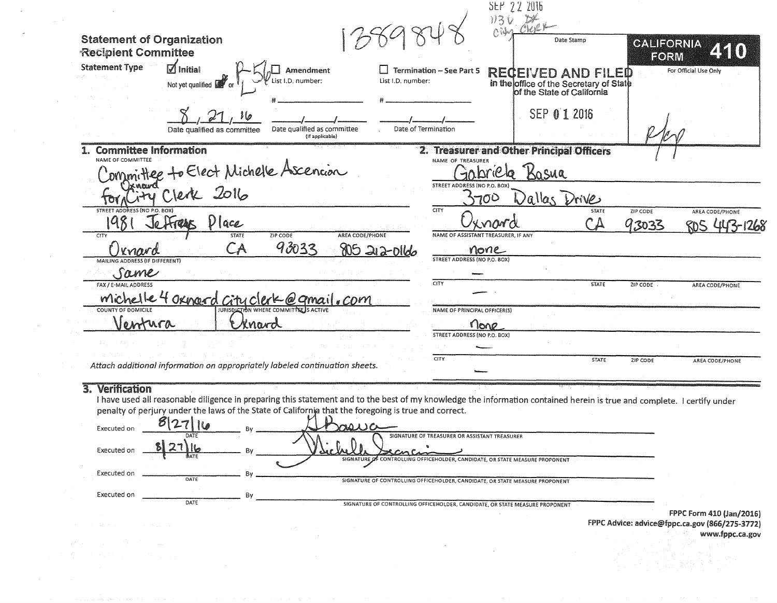|                                                                |                                                                                                                                              |                                                |                     |                                                   | SEP 22 2016                                 |                                                                                             |                           |                             |
|----------------------------------------------------------------|----------------------------------------------------------------------------------------------------------------------------------------------|------------------------------------------------|---------------------|---------------------------------------------------|---------------------------------------------|---------------------------------------------------------------------------------------------|---------------------------|-----------------------------|
| <b>Statement of Organization</b><br><b>Recipient Committee</b> |                                                                                                                                              |                                                |                     |                                                   | T.H<br>113V<br>OVER                         | Date Stamp                                                                                  | <b>GALIFORNIA</b><br>FORM | 450                         |
| <b>Statement Type</b>                                          | $\boxtimes$ Initial<br>Not yet qualified $\Box$                                                                                              | Amendment<br>ist I.D. number:                  | List I.D. number:   | <b>Termination - See Part 5</b>                   |                                             | RECEIVED AND FILED<br>in the office of the Secretary of State<br>of the State of California |                           | For Official Use Only       |
|                                                                | } (p<br>Date qualified as committee                                                                                                          | Date qualified as committee<br>(If applicable) | Date of Termination |                                                   |                                             | SEP 01 2016                                                                                 |                           |                             |
| <b>Committee Information</b>                                   |                                                                                                                                              |                                                |                     |                                                   |                                             | 2. Treasurer and Other Principal Officers                                                   |                           |                             |
| NAME OF COMMITTEE                                              | Committee to Elect Michelle Ascencion                                                                                                        |                                                |                     | NAME OF TREASURER<br>STREET ADDRESS (NO P.O. BOX) |                                             | osua                                                                                        |                           |                             |
|                                                                |                                                                                                                                              |                                                |                     |                                                   | 700                                         | allas Drive                                                                                 |                           |                             |
| STREET AD!<br>CITY                                             | Je Frans<br>$V$ lace<br><b>STATE</b>                                                                                                         | ZIP CODE<br>AREA CODE/PHONE                    |                     | <b>CITY</b>                                       | nard<br>NAME OF ASSISTANT TREASURER. IF ANY | <b>STATE</b>                                                                                | ZIP CODE<br>93033         | AREA CODE/PHONE<br>447-1268 |
| rnard<br>MAILING ADDE                                          | CA.<br><b>ESS (IF DIFFERENT)</b>                                                                                                             | 93033                                          | 805 212-0166        | STREET ADDRESS (NO P.O. BOX)                      | none                                        |                                                                                             |                           |                             |
| Same                                                           |                                                                                                                                              |                                                |                     |                                                   |                                             |                                                                                             |                           |                             |
| FAX / E-MAIL ADDRESS                                           | michelle 4 oxnoord city clerk @ qmail.com                                                                                                    |                                                |                     | CITY                                              |                                             | <b>STATE</b>                                                                                | ZIP CODE                  | AREA CODE/PHONE             |
| <b>COUNTY OF DOMICILE</b>                                      |                                                                                                                                              | JURISDICTION WHERE COMMITTEE IS ACTIVE         |                     | NAME OF PRINCIPAL OFFICER(S)                      |                                             |                                                                                             |                           |                             |
| Jentura                                                        |                                                                                                                                              | Knavd                                          |                     |                                                   | none                                        |                                                                                             |                           |                             |
|                                                                |                                                                                                                                              |                                                |                     | <b>STREET ADDRESS (NO P.O. BOX)</b>               |                                             |                                                                                             |                           |                             |
|                                                                | Attach additional information on appropriately labeled continuation sheets.                                                                  |                                                |                     | <b>CITY</b>                                       |                                             | <b>STATE</b>                                                                                | ZIP CODE                  | AREA CODE/PHONE             |
| <b>Verification</b>                                            | $\mu$ thous used all reasonable diligence in preparing this statement and to the best of my knowledge the information contained besoin is to |                                                |                     |                                                   |                                             |                                                                                             |                           |                             |

I have used all reasonable diligence in preparing this statement and to the best of my knowledge the information contained herein is true and complete. I certify under penalty of perjury under the laws of the State of California that the foregoing is true and correct.

| Executed on | $817 - 7$           | Bv. | asua                                                                                                                                         |                              |
|-------------|---------------------|-----|----------------------------------------------------------------------------------------------------------------------------------------------|------------------------------|
| Executed on | DATE<br>127<br>BATE | Rv. | SIGNATURE OF TREASURER OR ASSISTANT TREASURER<br>cmc<br>DAC.<br>SIGNATURE OF CONTROLLING OFFICEHOLDER, CANDIDATE, OR STATE MEASURE PROPONENT |                              |
| Executed on |                     |     |                                                                                                                                              |                              |
| Executed on | DATE                | Bν  | SIGNATURE OF CONTROLLING OFFICEHOLDER, CANDIDATE, OR STATE MEASURE PROPONENT                                                                 |                              |
|             | DATE                |     | SIGNATURE OF CONTROLLING OFFICEHOLDER, CANDIDATE, OR STATE MEASURE PROPONENT                                                                 | FDDC Form A10H <sub>2D</sub> |

 $\sim$ 

 $\sim$ 

 $\sim$   $\sim$ 

 $\sim$   $\sim$ 

FPPC Form 410 (Jan/2016)<br>FPPC Advice: advice@fppc.ca.gov (866/275-3772) www.fppc.ca.gov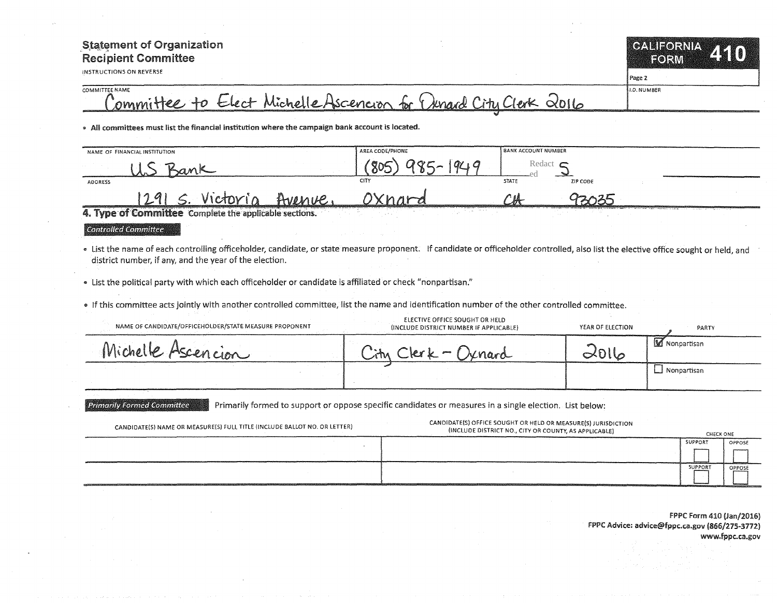## **Statement of Organization Recipient Committee**

**INSTRUCTIONS ON REVERSE** 

**OANFORMA** FORM

I.D. NUMBER

Page 2

## COMMITTEE NAME Committee to Elect Michelle Ascencion for Denard City Clerk 2016

. All committees must list the financial institution where the campaign bank account is located.

| NAME OF FINANCIAL INSTITUTION                                                                                               |                                                                                                                                                                                                                                | AREA CODE/PHONE | <b>BANK ACCOUNT NUMBER</b> |                                                                                                                                                                                                                                |
|-----------------------------------------------------------------------------------------------------------------------------|--------------------------------------------------------------------------------------------------------------------------------------------------------------------------------------------------------------------------------|-----------------|----------------------------|--------------------------------------------------------------------------------------------------------------------------------------------------------------------------------------------------------------------------------|
|                                                                                                                             |                                                                                                                                                                                                                                |                 | Redact $\epsilon$          |                                                                                                                                                                                                                                |
| <b>ADDRESS</b>                                                                                                              |                                                                                                                                                                                                                                | <b>CITY</b>     | <b>STATE</b><br>ZIP CODE   |                                                                                                                                                                                                                                |
| 1791                                                                                                                        | $A$ $\nu$                                                                                                                                                                                                                      |                 |                            |                                                                                                                                                                                                                                |
| <u>Proposition of the company of the company of the company of the company of the company of the company of the company</u> | A may be been well as a major of the first that the company and a company of the company of the company of the company of the company of the company of the company of the company of the company of the company of the compan |                 |                            | The contract of the contract of the contract of the contract of the contract of the contract of the contract of the contract of the contract of the contract of the contract of the contract of the contract of the contract o |

4. Type of Committee Complete the applicable sections.

**Controlled Committee** 

**Primarily Formed Committee** 

- . List the name of each controlling officeholder, candidate, or state measure proponent. If candidate or officeholder controlled, also list the elective office sought or held, and district number, if any, and the year of the election.
- List the political party with which each officeholder or candidate is affiliated or check "nonpartisan."
- . If this committee acts jointly with another controlled committee, list the name and identification number of the other controlled committee.

| NAME OF CANDIDATE/OFFICEHOLDER/STATE MEASURE PROPONENT | ELECTIVE OFFICE SOUGHT OR HELD<br>(INCLUDE DISTRICT NUMBER IF APPLICABLE) | YEAR OF ELECTION | PARTY          |
|--------------------------------------------------------|---------------------------------------------------------------------------|------------------|----------------|
| Michelle Ascencion                                     | $\mathsf{b} \cdot \mathsf{b} =$<br>" jenard                               | $\infty$ Ullo    | M Nonpartisan  |
|                                                        |                                                                           |                  | LJ Nonpartisan |

Primarily formed to support or oppose specific candidates or measures in a single election. List below:

| CANDIDATE(S) NAME OR MEASURE(S) FULL TITLE (INCLUDE BALLOT NO. OR LETTER)                                                                                                                              | CANDIDATE(S) OFFICE SOUGHT OR HELD OR MEASURE(S) JURISDICTION<br>(INCLUDE DISTRICT NO., CITY OR COUNTY, AS APPLICABLE) | CHECK ONE |        |
|--------------------------------------------------------------------------------------------------------------------------------------------------------------------------------------------------------|------------------------------------------------------------------------------------------------------------------------|-----------|--------|
|                                                                                                                                                                                                        |                                                                                                                        | SUPPORT   | OPPOSE |
|                                                                                                                                                                                                        |                                                                                                                        |           |        |
| <b>HOLLY CEEP, LEWIS COUNTY OF PERSONS PRODUCED AND CONSULTED TO A REPORT</b><br><b>CONTRACTOR IN A REPORT OF THE CONTRACTOR OF A STATE OF A SAN AND A STATE OF A STATE OF A STATE OF A STATE OF A</b> |                                                                                                                        | SUPPORT   | OPPOSE |

FPPC Form 410 (Jan/2016) FPPC Advice: advice@fppc.ca.gov (866/275-3772) www.fppc.ca.gov